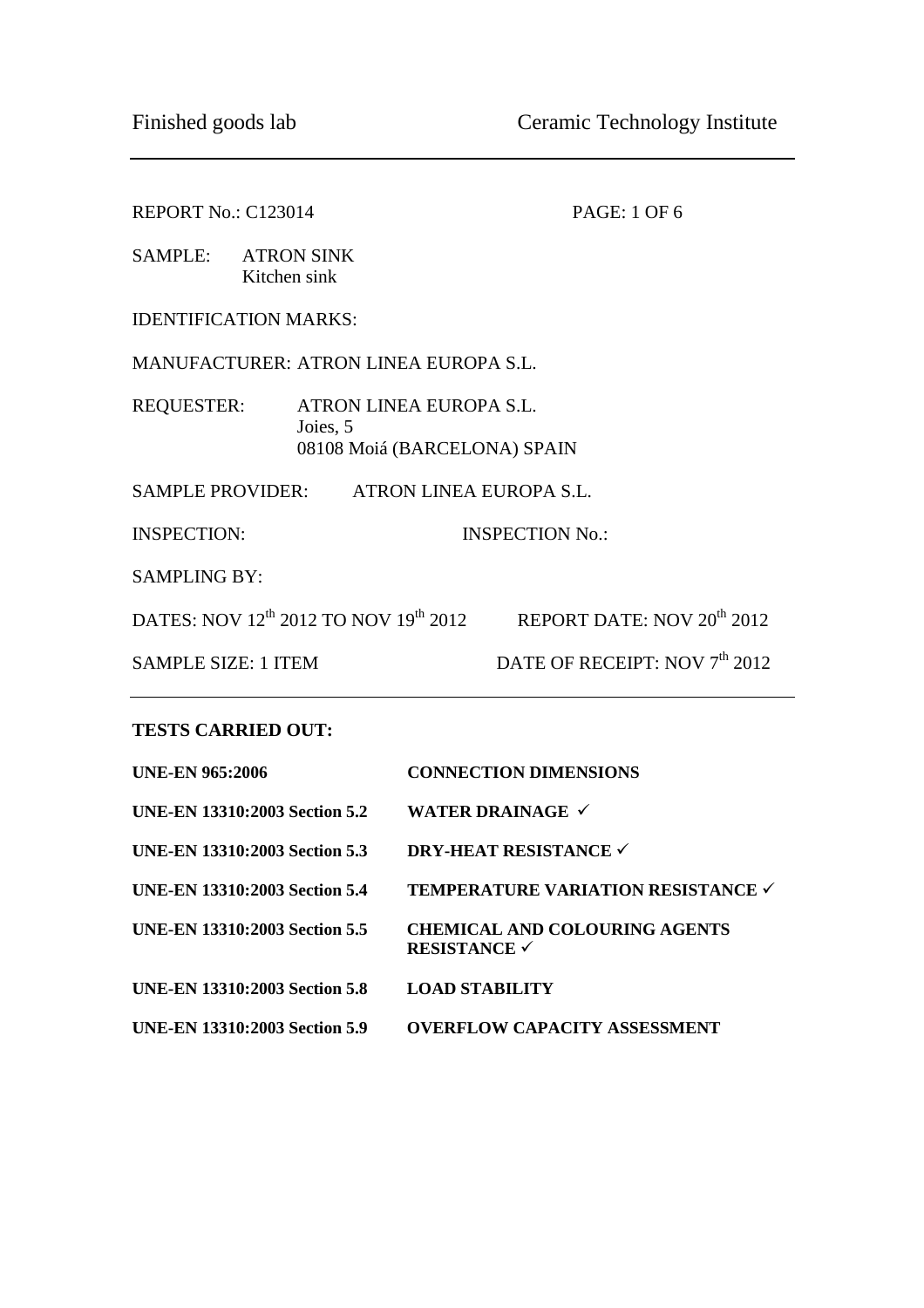| REPORT No.: C123014                          |                                                                     | <b>PAGE: 1 OF 6</b>                                                             |  |  |  |
|----------------------------------------------|---------------------------------------------------------------------|---------------------------------------------------------------------------------|--|--|--|
|                                              | SAMPLE: ATRON SINK<br>Kitchen sink                                  |                                                                                 |  |  |  |
| <b>IDENTIFICATION MARKS:</b>                 |                                                                     |                                                                                 |  |  |  |
| <b>MANUFACTURER: ATRON LINEA EUROPA S.L.</b> |                                                                     |                                                                                 |  |  |  |
| <b>REQUESTER:</b>                            | ATRON LINEA EUROPA S.L.<br>Joies, 5<br>08108 Moiá (BARCELONA) SPAIN |                                                                                 |  |  |  |
| SAMPLE PROVIDER: ATRON LINEA EUROPA S.L.     |                                                                     |                                                                                 |  |  |  |
| <b>INSPECTION:</b>                           |                                                                     | <b>INSPECTION No.:</b>                                                          |  |  |  |
| <b>SAMPLING BY:</b>                          |                                                                     |                                                                                 |  |  |  |
|                                              |                                                                     | DATES: NOV $12^{th}$ 2012 TO NOV $19^{th}$ 2012 REPORT DATE: NOV $20^{th}$ 2012 |  |  |  |
| <b>SAMPLE SIZE: 1 ITEM</b>                   |                                                                     | DATE OF RECEIPT: NOV 7 <sup>th</sup> 2012                                       |  |  |  |
|                                              |                                                                     |                                                                                 |  |  |  |

#### **TESTS CARRIED OUT:**

| <b>UNE-EN 965:2006</b>               | <b>CONNECTION DIMENSIONS</b>                                |
|--------------------------------------|-------------------------------------------------------------|
| UNE-EN 13310:2003 Section 5.2        | WATER DRAINAGE $\checkmark$                                 |
| <b>UNE-EN 13310:2003 Section 5.3</b> | <b>DRY-HEAT RESISTANCE ✓</b>                                |
| <b>UNE-EN 13310:2003 Section 5.4</b> | TEMPERATURE VARIATION RESISTANCE V                          |
| <b>UNE-EN 13310:2003 Section 5.5</b> | <b>CHEMICAL AND COLOURING AGENTS</b><br><b>RESISTANCE ✓</b> |
| <b>UNE-EN 13310:2003 Section 5.8</b> | <b>LOAD STABILITY</b>                                       |
| <b>UNE-EN 13310:2003 Section 5.9</b> | <b>OVERFLOW CAPACITY ASSESSMENT</b>                         |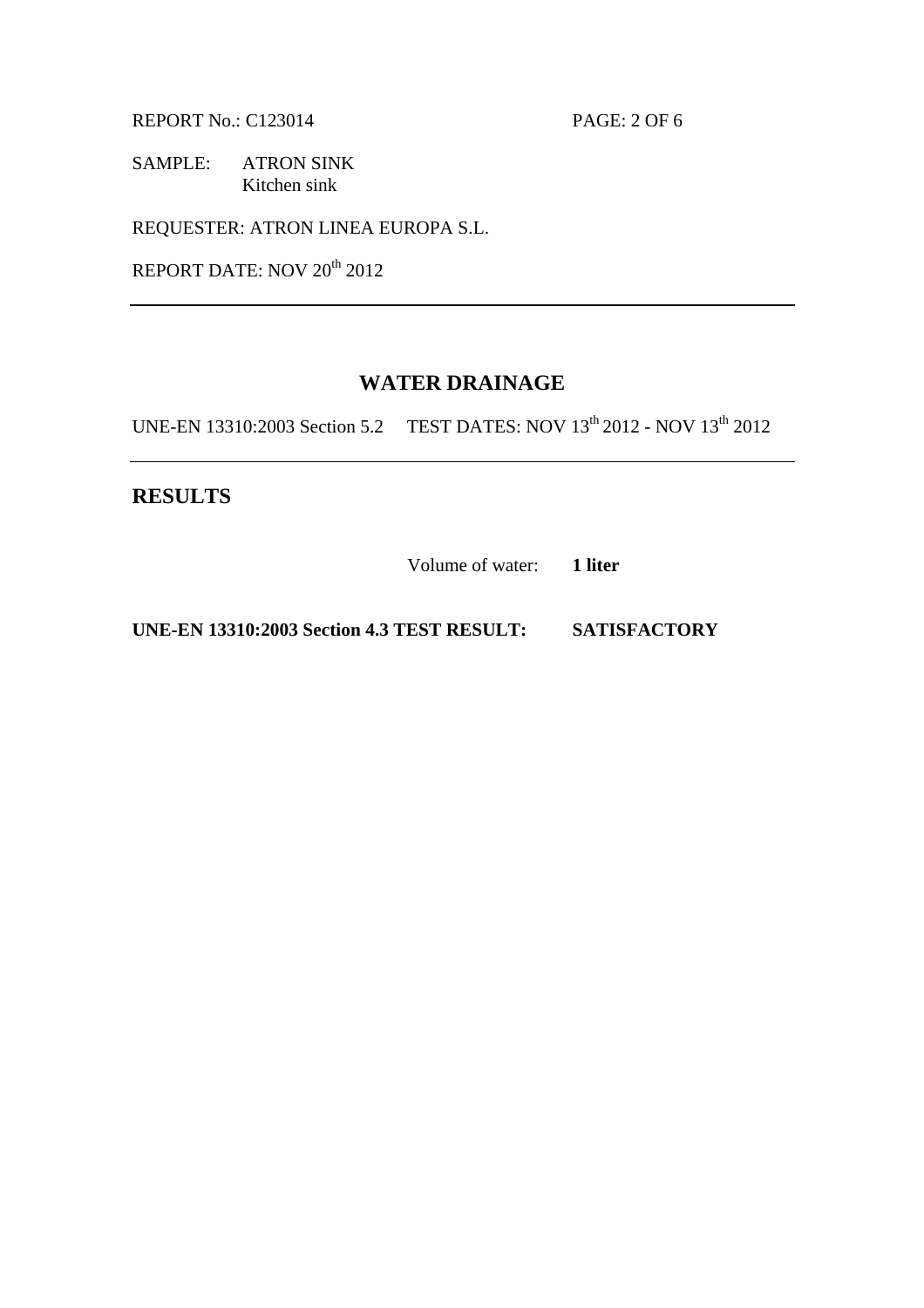REPORT No.: C123014 PAGE: 2 OF 6

SAMPLE: ATRON SINK Kitchen sink

REQUESTER: ATRON LINEA EUROPA S.L.

REPORT DATE: NOV 20<sup>th</sup> 2012

### **WATER DRAINAGE**

UNE-EN 13310:2003 Section 5.2 TEST DATES: NOV 13<sup>th</sup> 2012 - NOV 13<sup>th</sup> 2012

**RESULTS** 

Volume of water: **1 liter** 

**UNE-EN 13310:2003 Section 4.3 TEST RESULT: SATISFACTORY**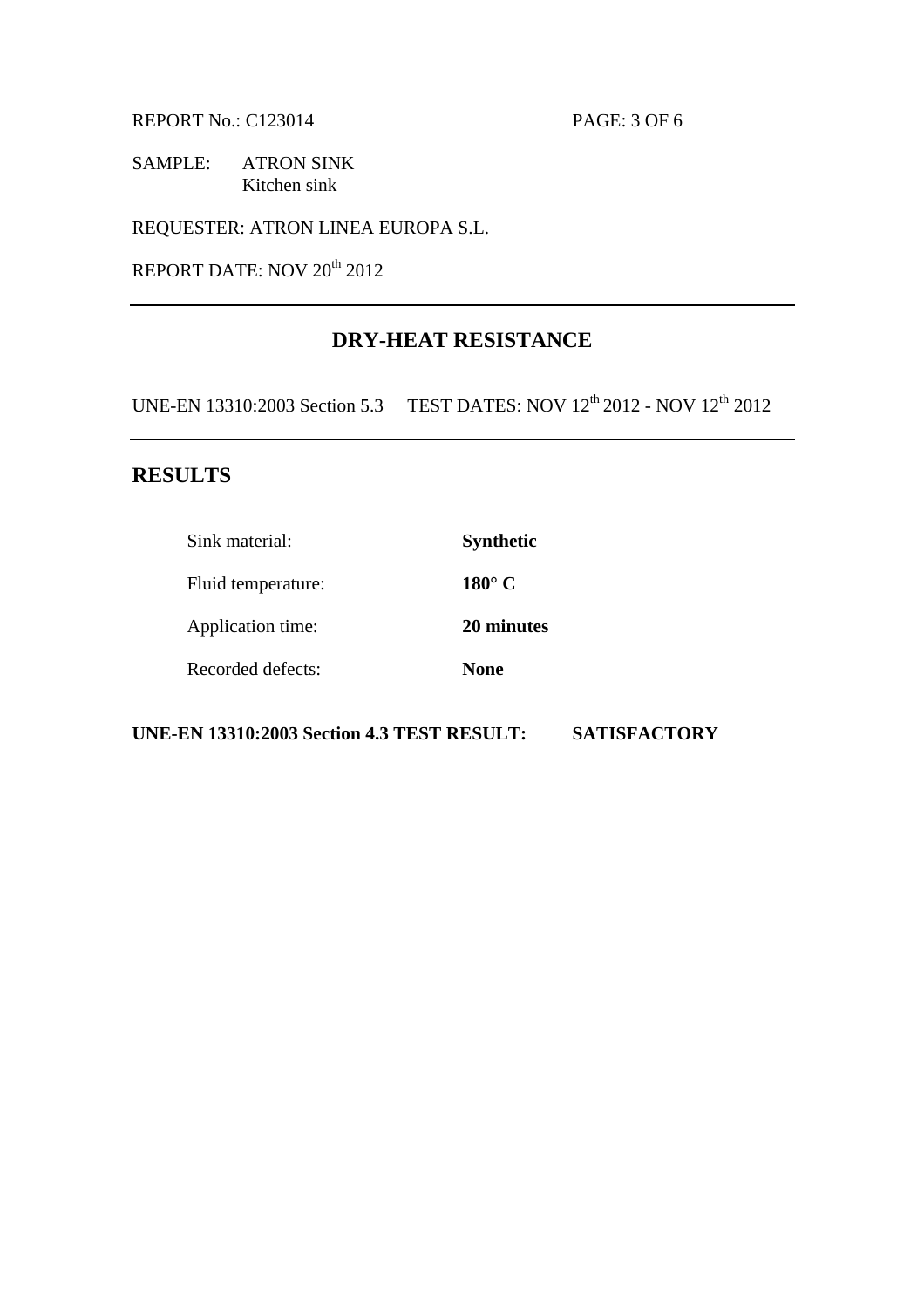REPORT No.: C123014 PAGE: 3 OF 6

SAMPLE: ATRON SINK Kitchen sink

REQUESTER: ATRON LINEA EUROPA S.L.

REPORT DATE: NOV 20<sup>th</sup> 2012

# **DRY-HEAT RESISTANCE**

UNE-EN 13310:2003 Section 5.3 TEST DATES: NOV 12<sup>th</sup> 2012 - NOV 12<sup>th</sup> 2012

## **RESULTS**

| Sink material:     | <b>Synthetic</b> |
|--------------------|------------------|
| Fluid temperature: | $180^{\circ}$ C  |
| Application time:  | 20 minutes       |
| Recorded defects:  | <b>None</b>      |

**UNE-EN 13310:2003 Section 4.3 TEST RESULT: SATISFACTORY**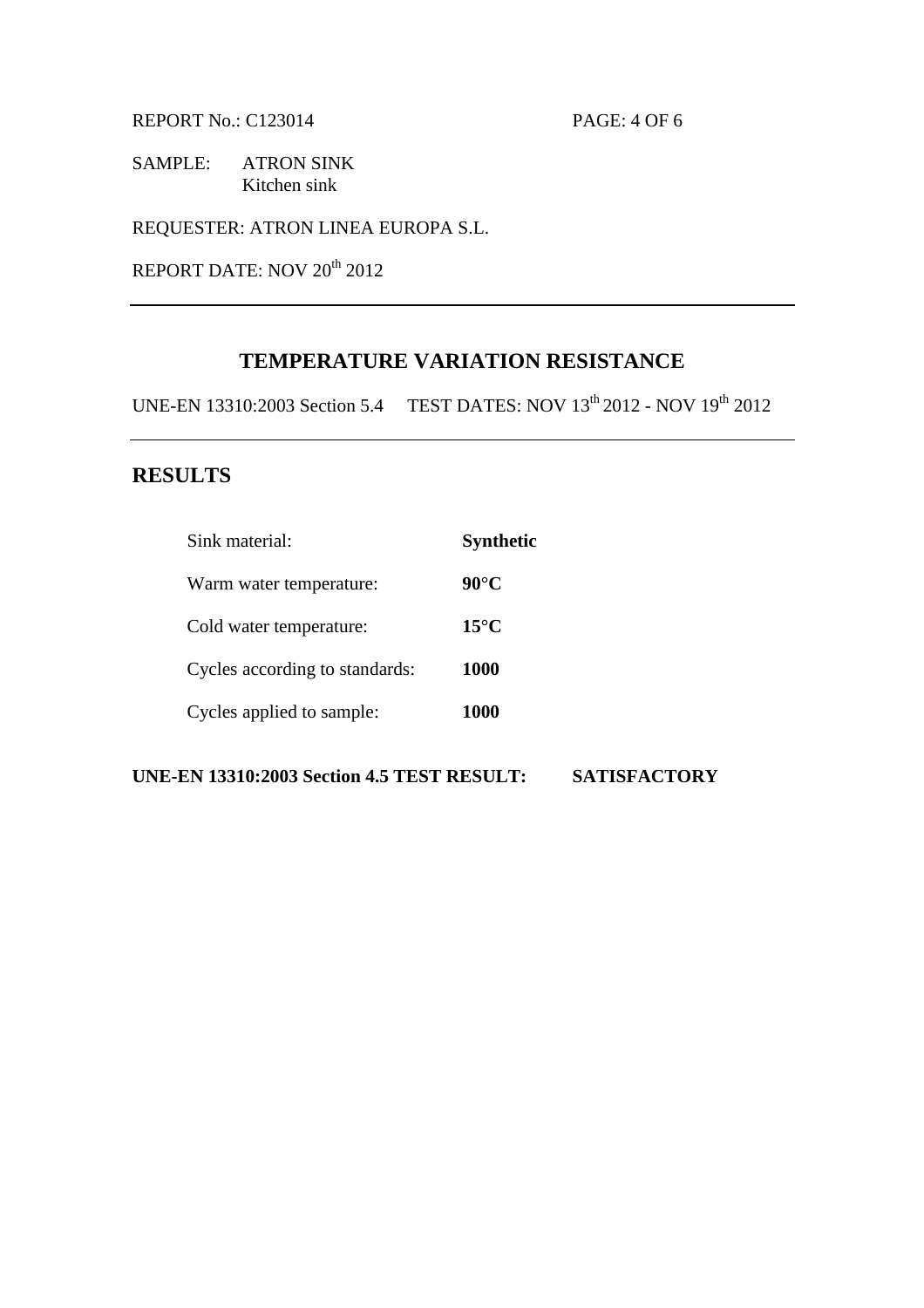REPORT No.: C123014 PAGE: 4 OF 6

SAMPLE: ATRON SINK Kitchen sink

REQUESTER: ATRON LINEA EUROPA S.L.

REPORT DATE: NOV 20<sup>th</sup> 2012

# **TEMPERATURE VARIATION RESISTANCE**

UNE-EN 13310:2003 Section 5.4 TEST DATES: NOV 13th 2012 - NOV 19th 2012

### **RESULTS**

| Sink material:                 | <b>Synthetic</b> |
|--------------------------------|------------------|
| Warm water temperature:        | $90^{\circ}$ C   |
| Cold water temperature:        | $15^{\circ}$ C   |
| Cycles according to standards: | <b>1000</b>      |
| Cycles applied to sample:      | <b>1000</b>      |
|                                |                  |

**UNE-EN 13310:2003 Section 4.5 TEST RESULT: SATISFACTORY**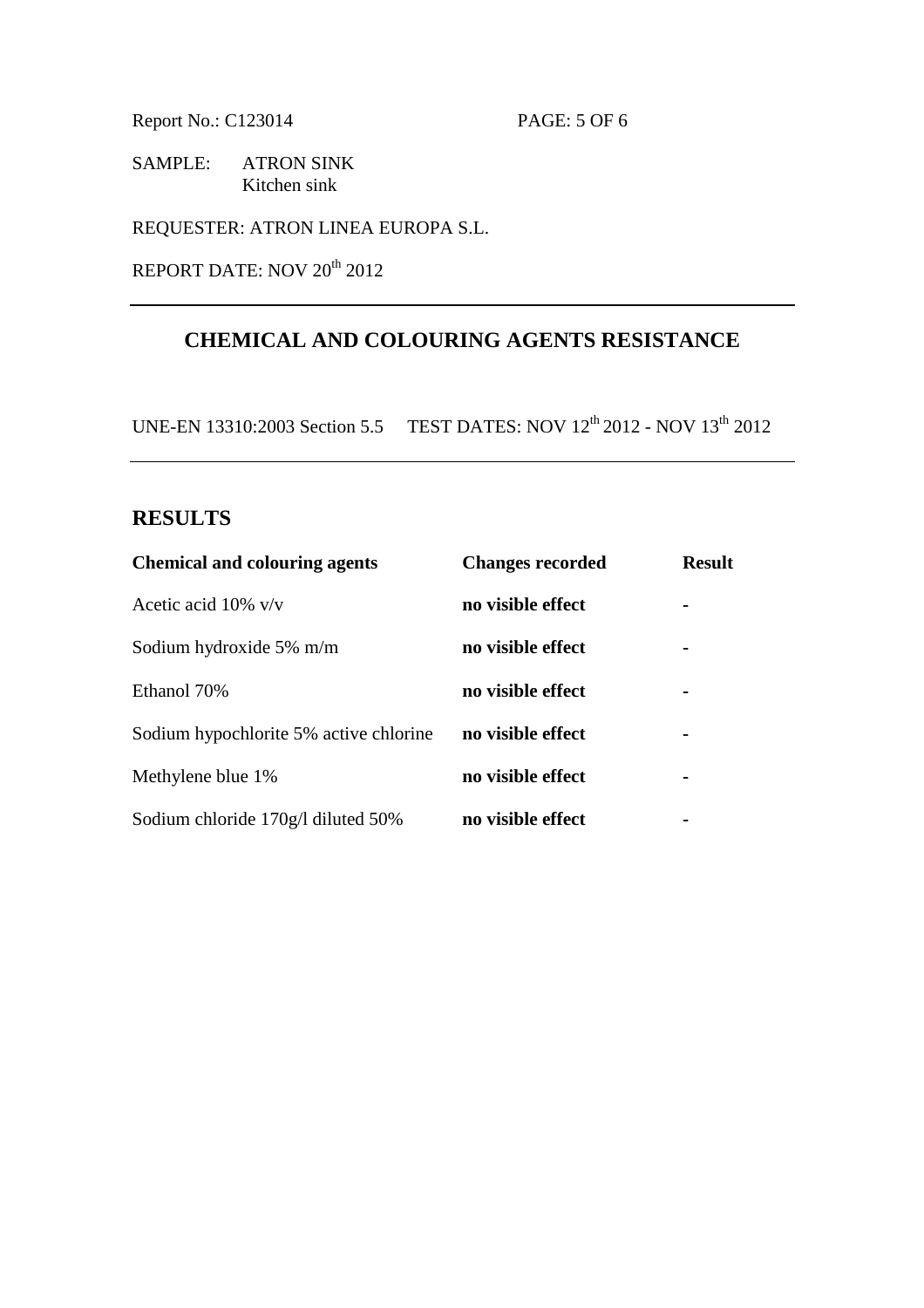Report No.: C123014 PAGE: 5 OF 6

SAMPLE: ATRON SINK Kitchen sink

REQUESTER: ATRON LINEA EUROPA S.L.

REPORT DATE: NOV 20<sup>th</sup> 2012

# **CHEMICAL AND COLOURING AGENTS RESISTANCE**

UNE-EN 13310:2003 Section 5.5 TEST DATES: NOV 12th 2012 - NOV 13th 2012

## **RESULTS**

| <b>Chemical and colouring agents</b>   | <b>Changes recorded</b> | <b>Result</b> |
|----------------------------------------|-------------------------|---------------|
| Acetic acid $10\%$ v/v                 | no visible effect       |               |
| Sodium hydroxide 5% m/m                | no visible effect       |               |
| Ethanol 70%                            | no visible effect       |               |
| Sodium hypochlorite 5% active chlorine | no visible effect       |               |
| Methylene blue 1%                      | no visible effect       |               |
| Sodium chloride 170g/l diluted 50%     | no visible effect       |               |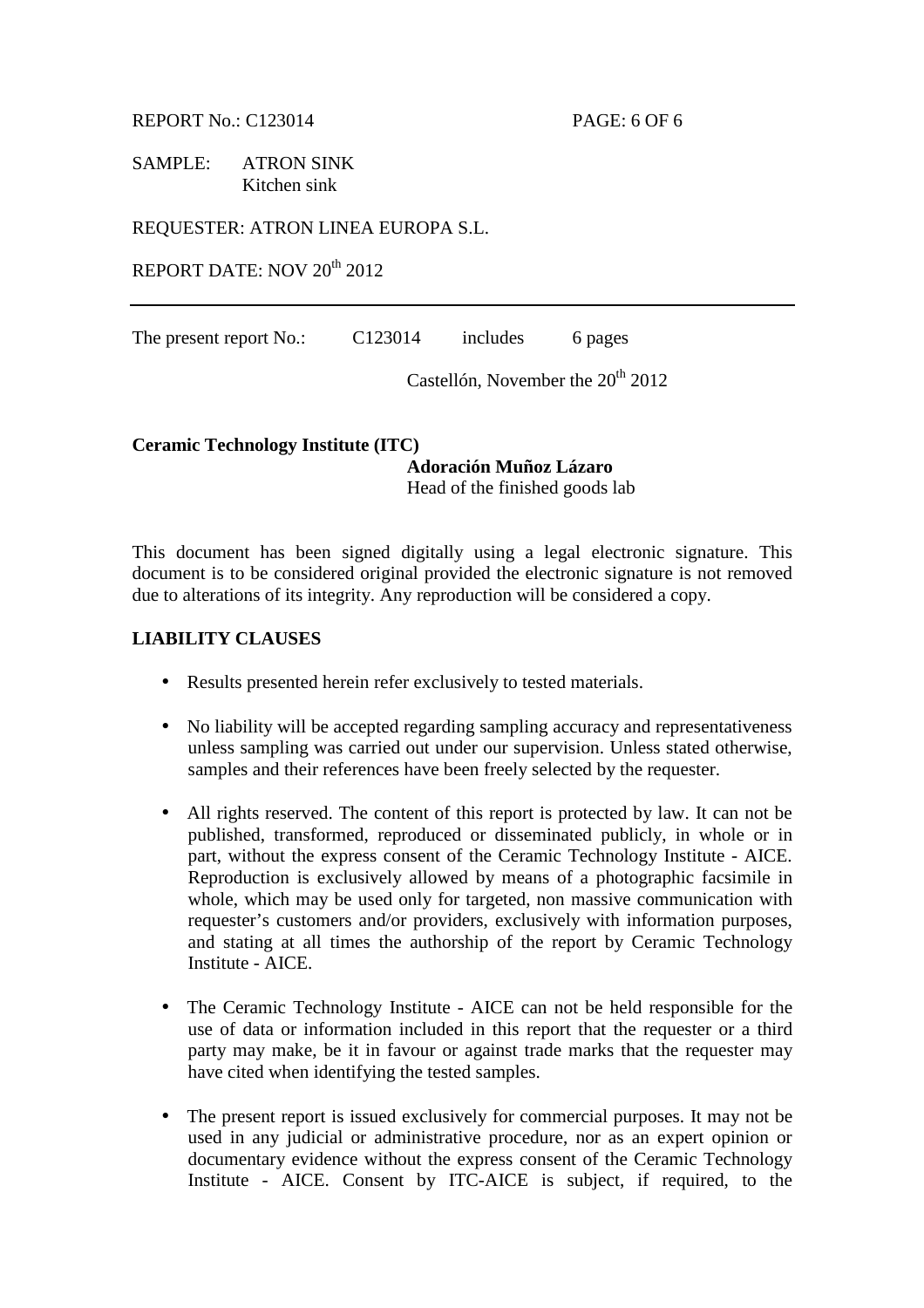REPORT No.: C123014 PAGE: 6 OF 6

SAMPLE: ATRON SINK Kitchen sink

REQUESTER: ATRON LINEA EUROPA S.L.

REPORT DATE: NOV 20<sup>th</sup> 2012

The present report No.: C123014 includes 6 pages

Castellón, November the  $20<sup>th</sup> 2012$ 

#### **Ceramic Technology Institute (ITC)**

**Adoración Muñoz Lázaro**  Head of the finished goods lab

This document has been signed digitally using a legal electronic signature. This document is to be considered original provided the electronic signature is not removed due to alterations of its integrity. Any reproduction will be considered a copy.

### **LIABILITY CLAUSES**

- Results presented herein refer exclusively to tested materials.
- No liability will be accepted regarding sampling accuracy and representativeness unless sampling was carried out under our supervision. Unless stated otherwise, samples and their references have been freely selected by the requester.
- All rights reserved. The content of this report is protected by law. It can not be published, transformed, reproduced or disseminated publicly, in whole or in part, without the express consent of the Ceramic Technology Institute - AICE. Reproduction is exclusively allowed by means of a photographic facsimile in whole, which may be used only for targeted, non massive communication with requester's customers and/or providers, exclusively with information purposes, and stating at all times the authorship of the report by Ceramic Technology Institute - AICE.
- The Ceramic Technology Institute AICE can not be held responsible for the use of data or information included in this report that the requester or a third party may make, be it in favour or against trade marks that the requester may have cited when identifying the tested samples.
- The present report is issued exclusively for commercial purposes. It may not be used in any judicial or administrative procedure, nor as an expert opinion or documentary evidence without the express consent of the Ceramic Technology Institute - AICE. Consent by ITC-AICE is subject, if required, to the